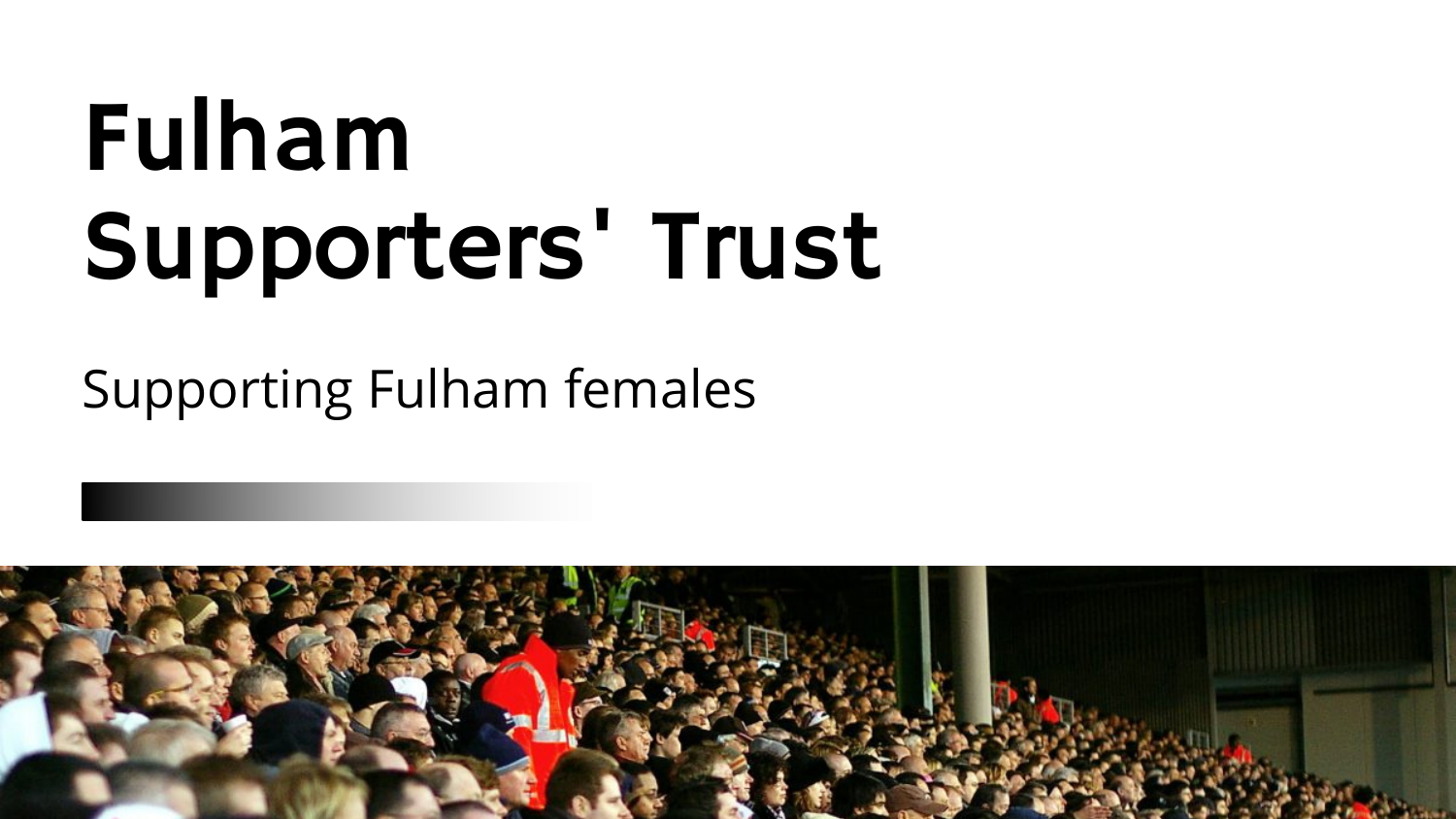# Fulham Supporters' Trust

### Supporting Fulham females

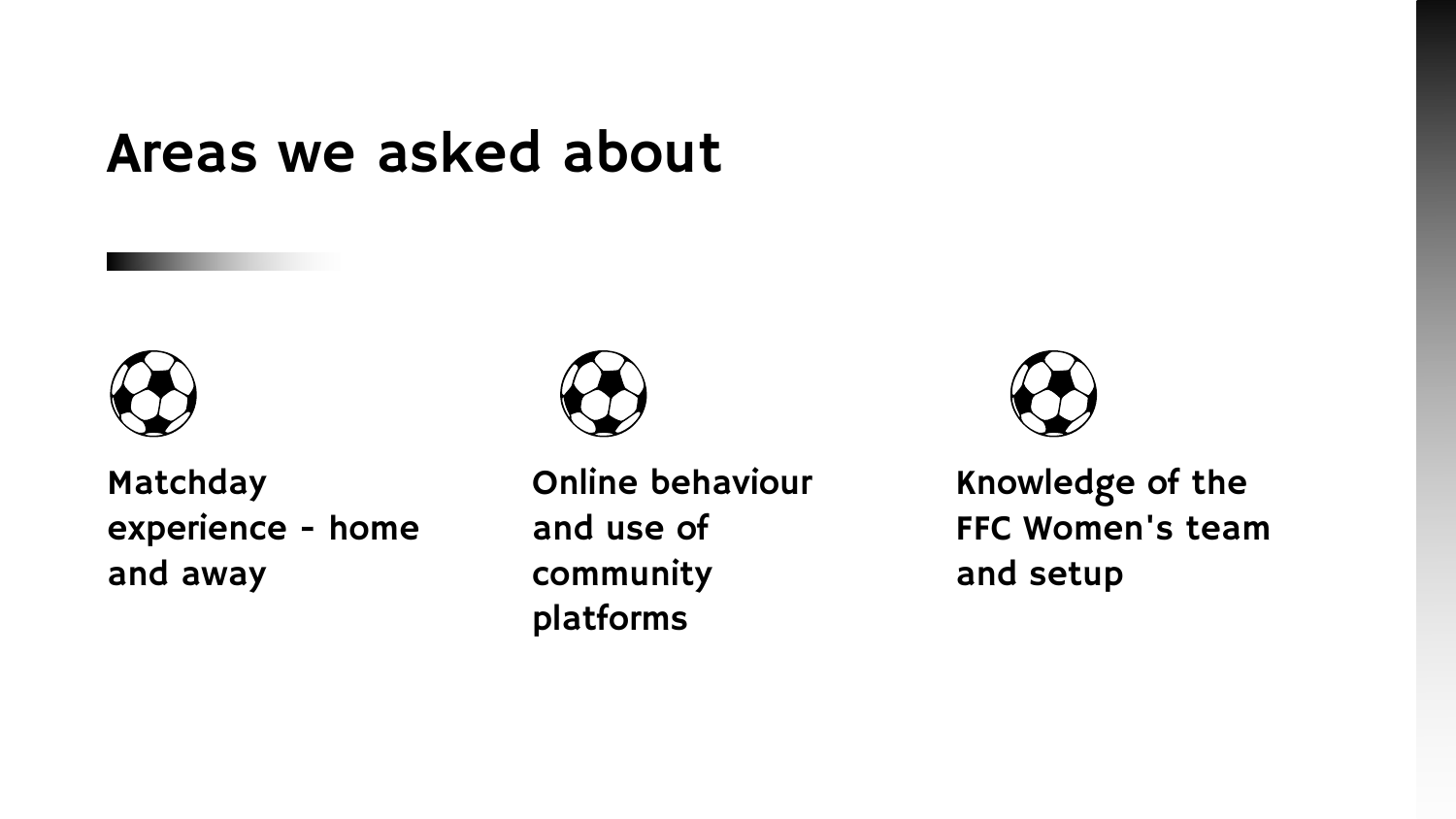### Knowledge of the FFC Women's team and setup

Matchday experience - home and away



Online behaviour and use of community platforms



### Areas we asked about

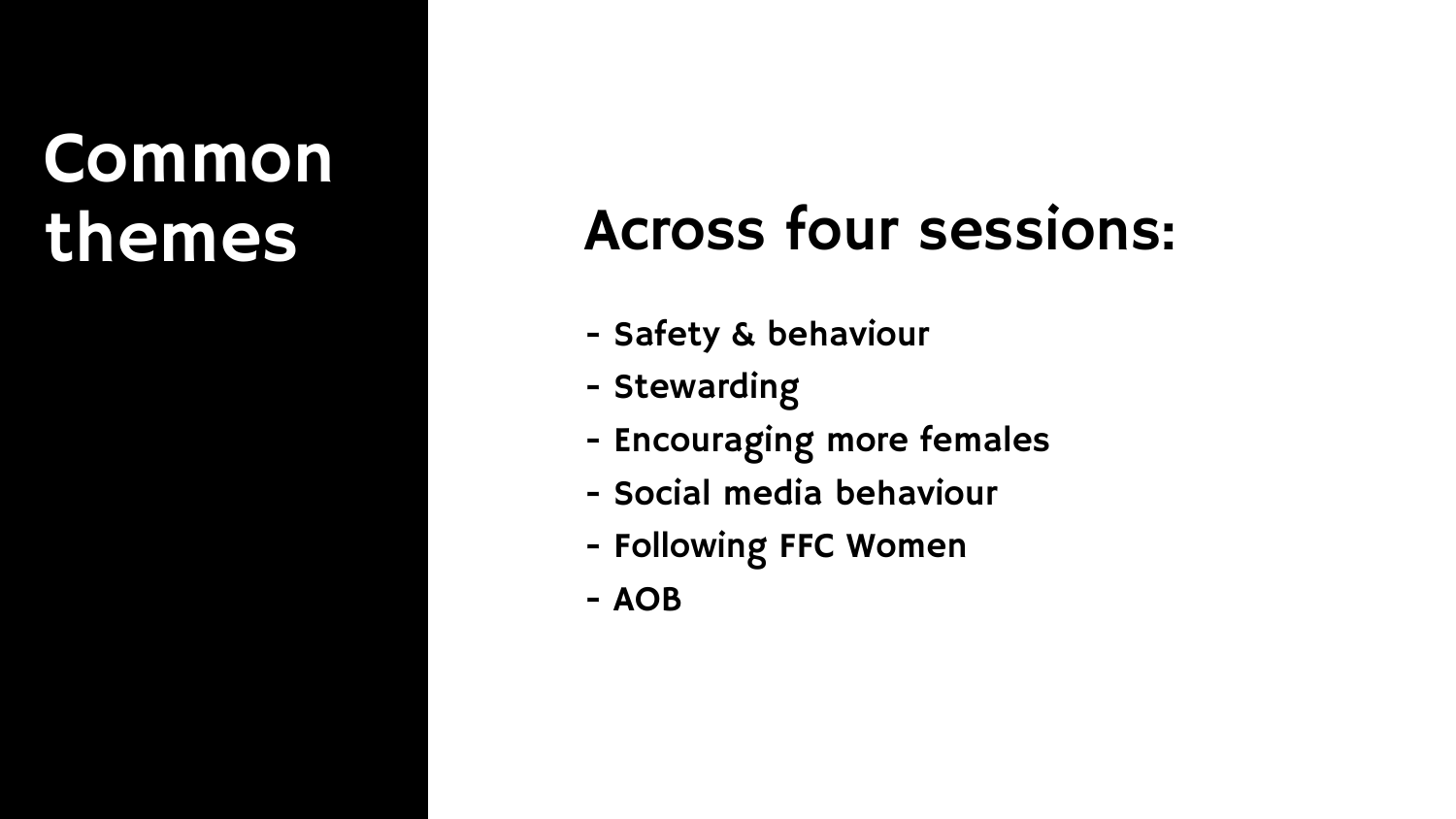# **Common**

### themes Across four sessions:

- Safety & behaviour
- Stewarding
- Encouraging more females
- Social media behaviour
- Following FFC Women
- AOB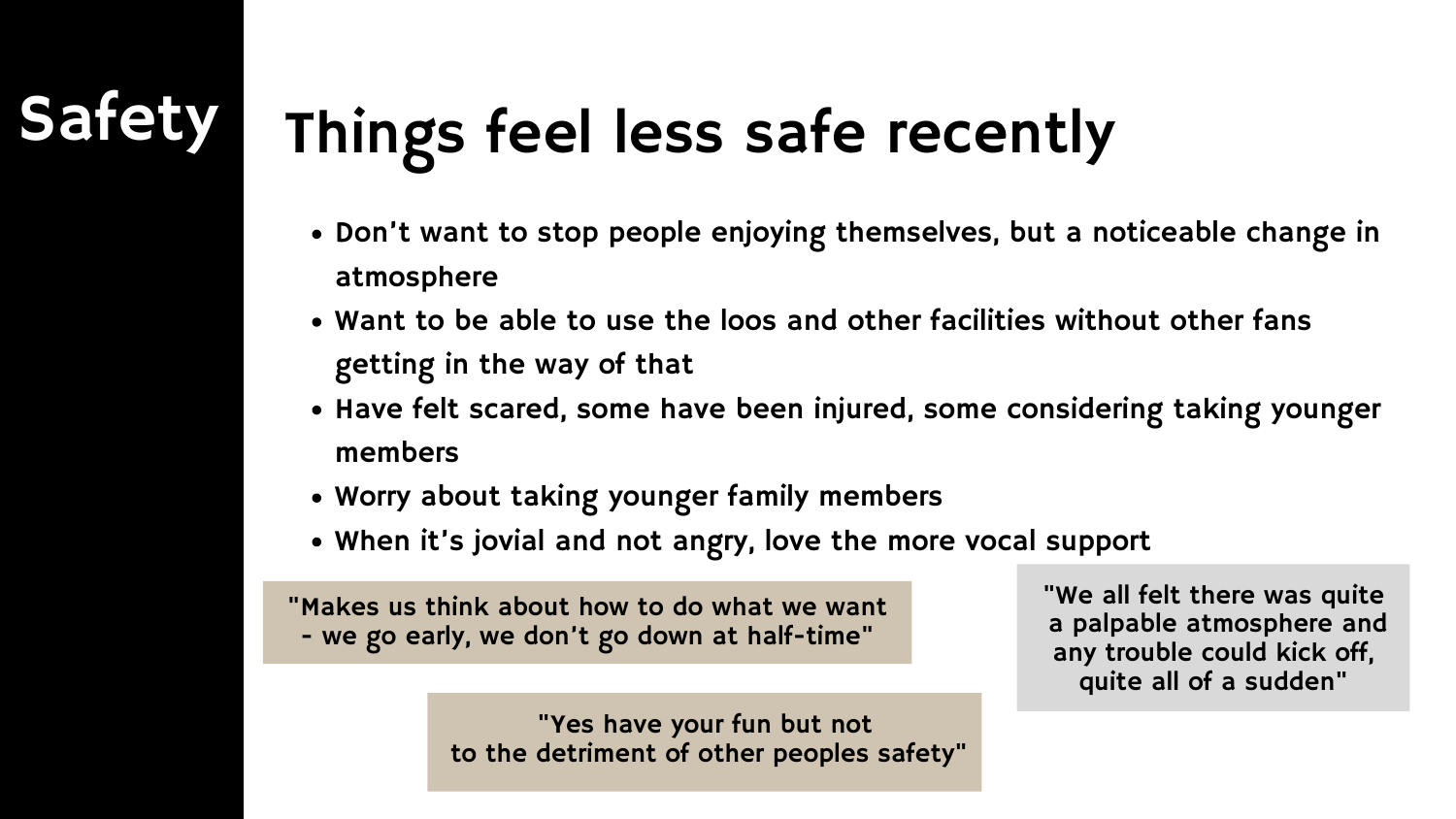## Things feel less safe recently

- Don't want to stop people enjoying themselves, but a noticeable change in atmosphere
- Want to be able to use the loos and other facilities without other fans getting in the way of that
- Have felt scared, some have been injured, some considering taking younger members
- Worry about taking younger family members
- When it's jovial and not angry, love the more vocal support

"Makes us think about how to do what we want - we go early, we don't go down at half-time"

"We all felt there was quite a palpable atmosphere and any trouble could kick off, quite all of a sudden"



"Yes have your fun but not to the detriment of other peoples safety"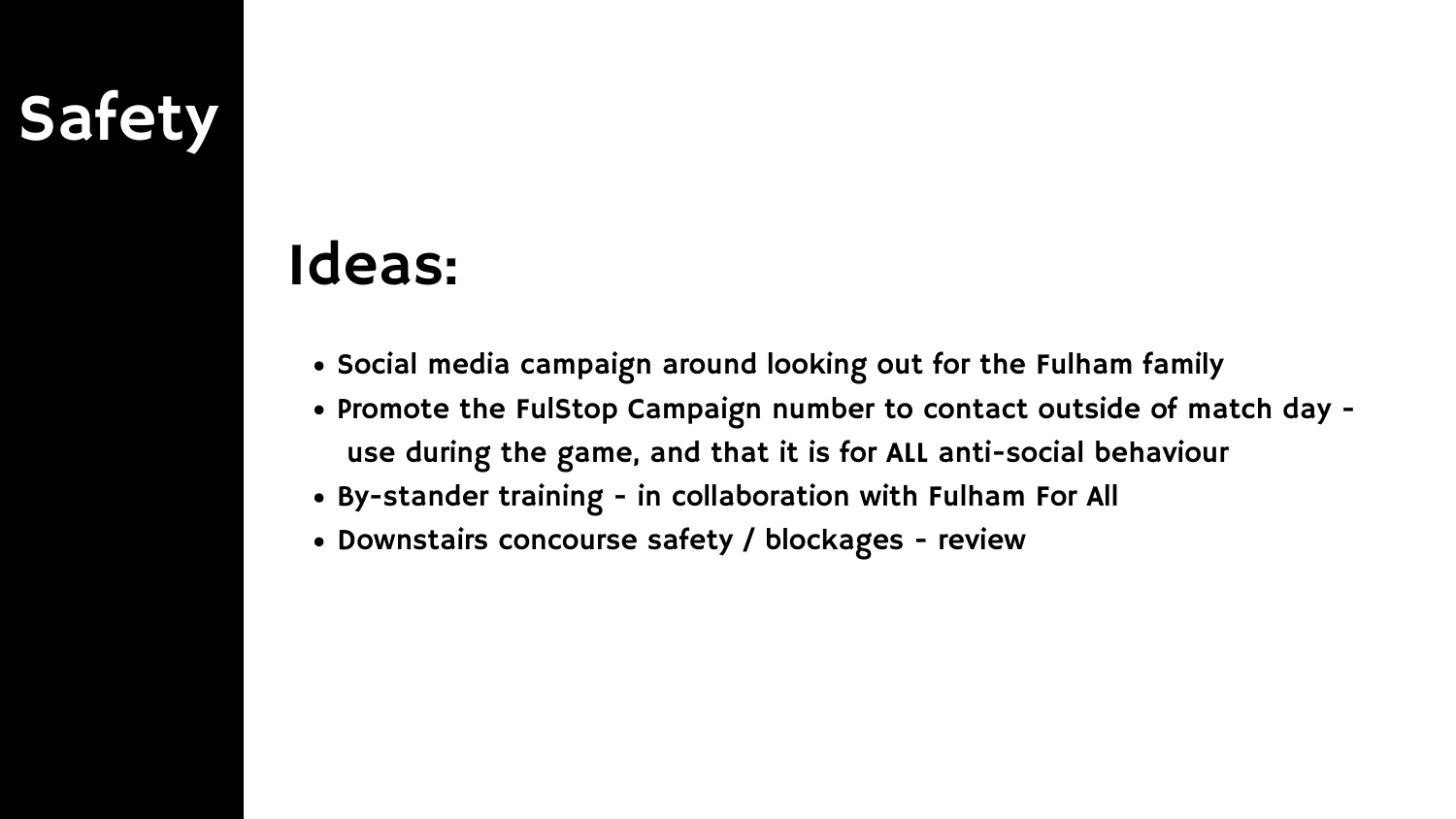### Safety

### Ideas:

- . Social media campaign around looking out for the Fulham family
- Promote the FulStop Campaign number to contact outside of match day use during the game, and that it is for ALL anti-social behaviour
- By-stander training in collaboration with Fulham For All
- Downstairs concourse safety / blockages review
-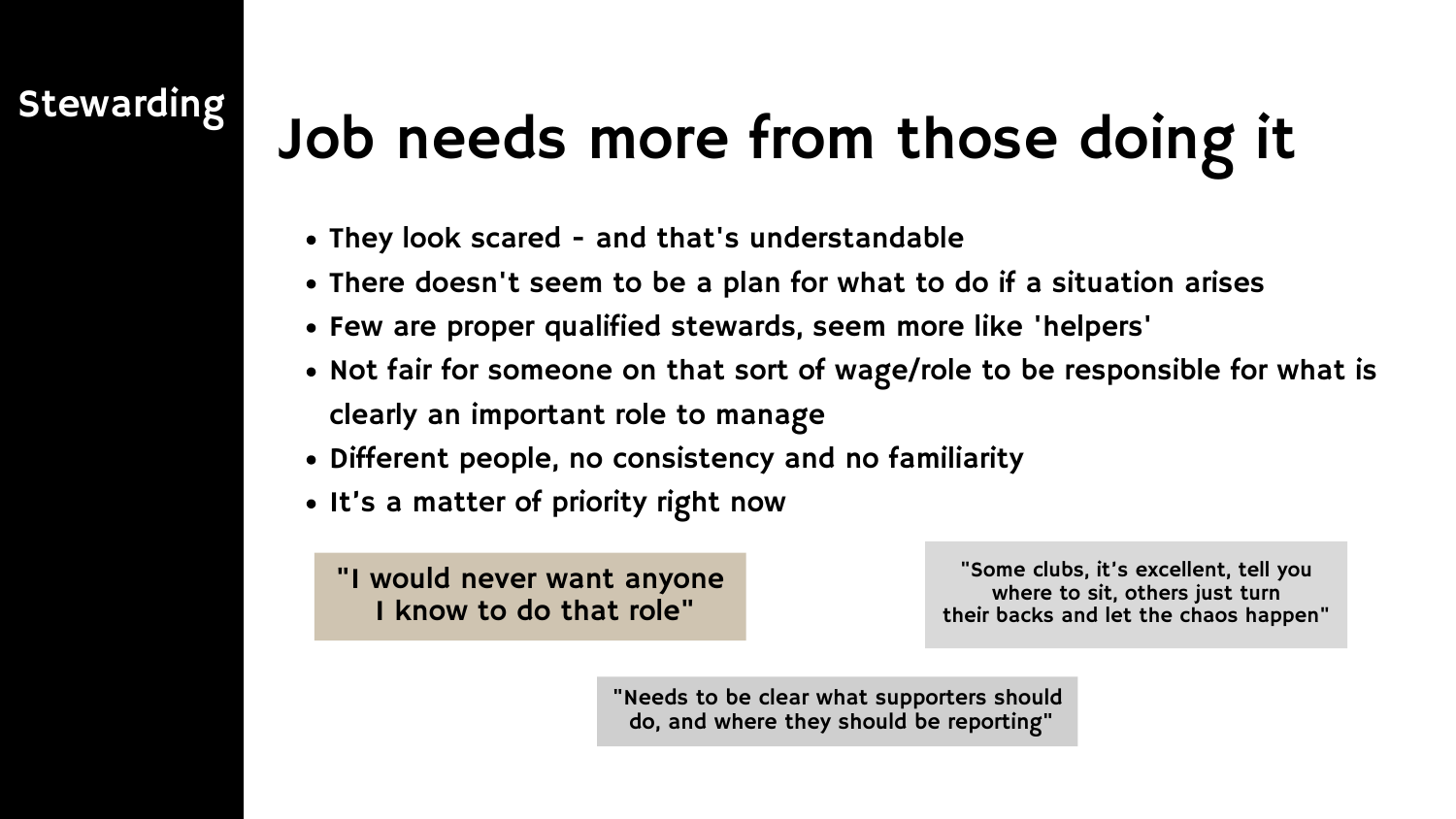## Stewarding Job needs more from those doing it

- They look scared and that's understandable
- There doesn't seem to be a plan for what to do if a situation arises
- Few are proper qualified stewards, seem more like 'helpers'
- Not fair for someone on that sort of wage/role to be responsible for what is clearly an important role to manage
- Different people, no consistency and no familiarity
- It's a matter of priority right now

"I would never want anyone I know to do that role"

"Some clubs, it's excellent, tell you where to sit, others just turn their backs and let the chaos happen"

"Needs to be clear what supporters should do, and where they should be reporting"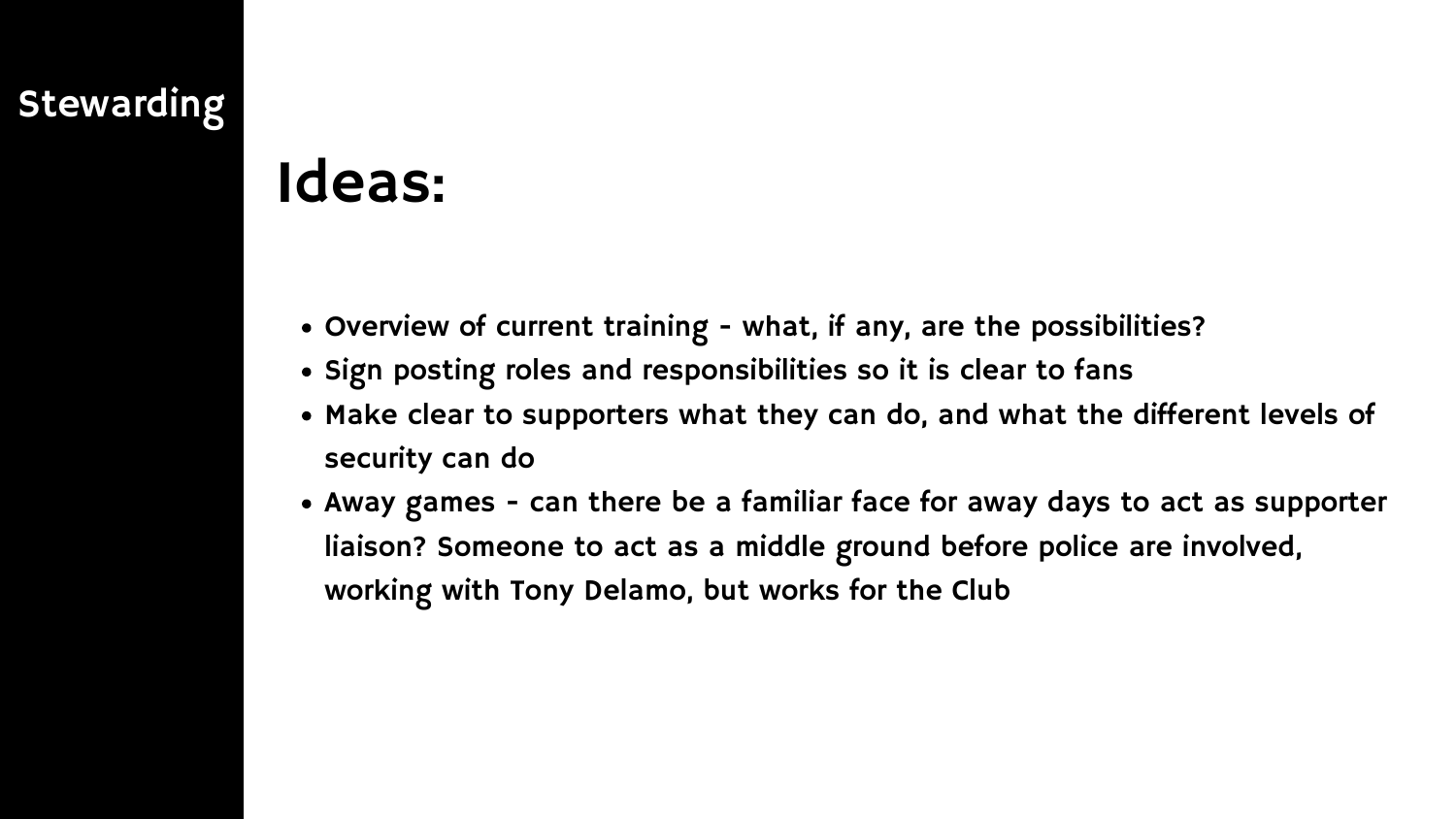### Stewarding

### Ideas:

- Overview of current training what, if any, are the possibilities?
- . Sign posting roles and responsibilities so it is clear to fans
- Make clear to supporters what they can do, and what the different levels of security can do
- Away games can there be a familiar face for away days to act as supporter liaison? Someone to act as a middle ground before police are involved, working with Tony Delamo, but works for the Club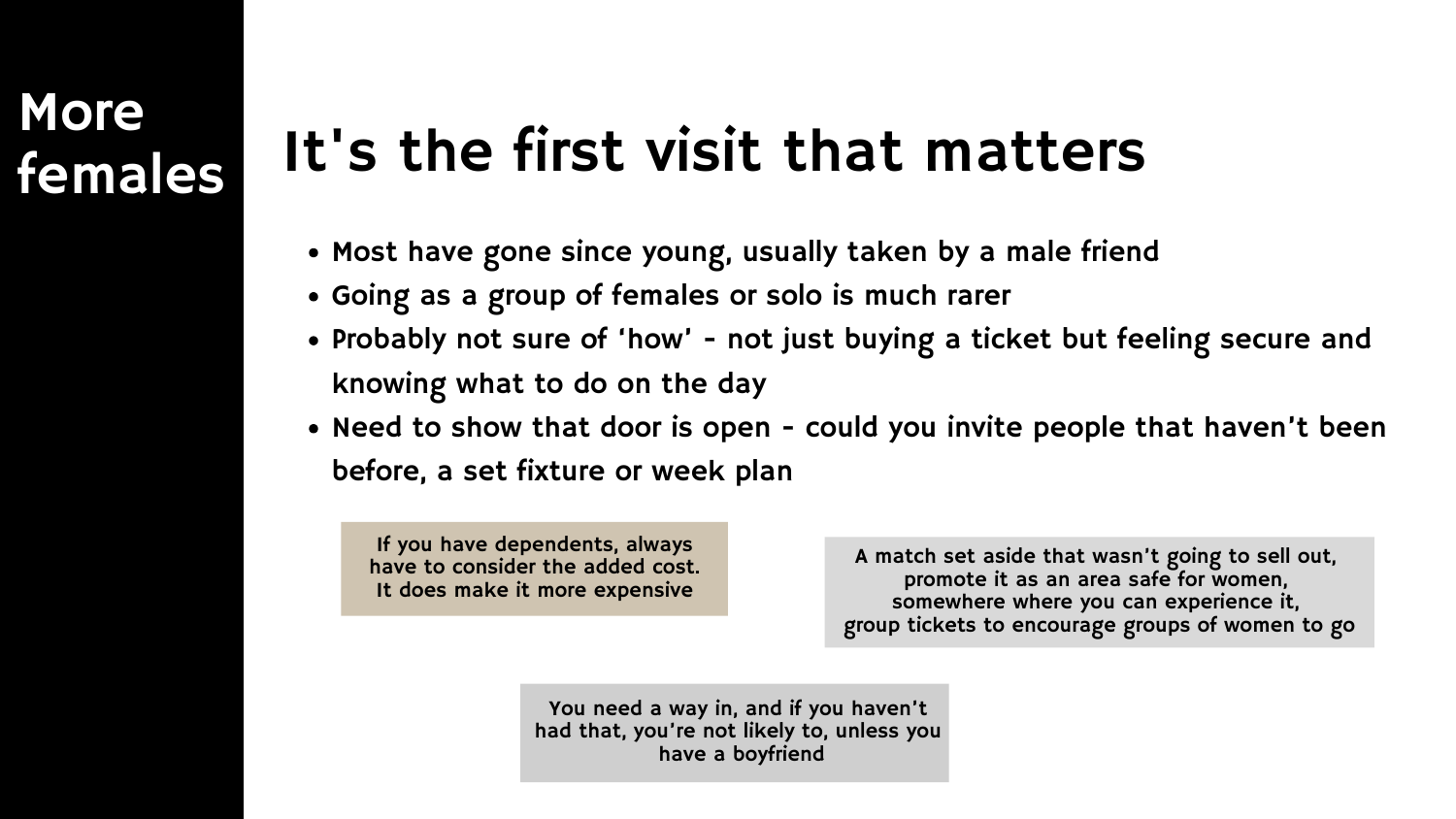### **More** females

### It's the first visit that matters

- Most have gone since young, usually taken by a male friend
- Going as a group of females or solo is much rarer
- Probably not sure of 'how' not just buying a ticket but feeling secure and knowing what to do on the day
- Need to show that door is open could you invite people that haven't been before, a set fixture or week plan

A match set aside that wasn't going to sell out, promote it as an area safe for women, somewhere where you can experience it, group tickets to encourage groups of women to go

You need a way in, and if you haven't had that, you're not likely to, unless you have a boyfriend



If you have dependents, always have to consider the added cost. It does make it more expensive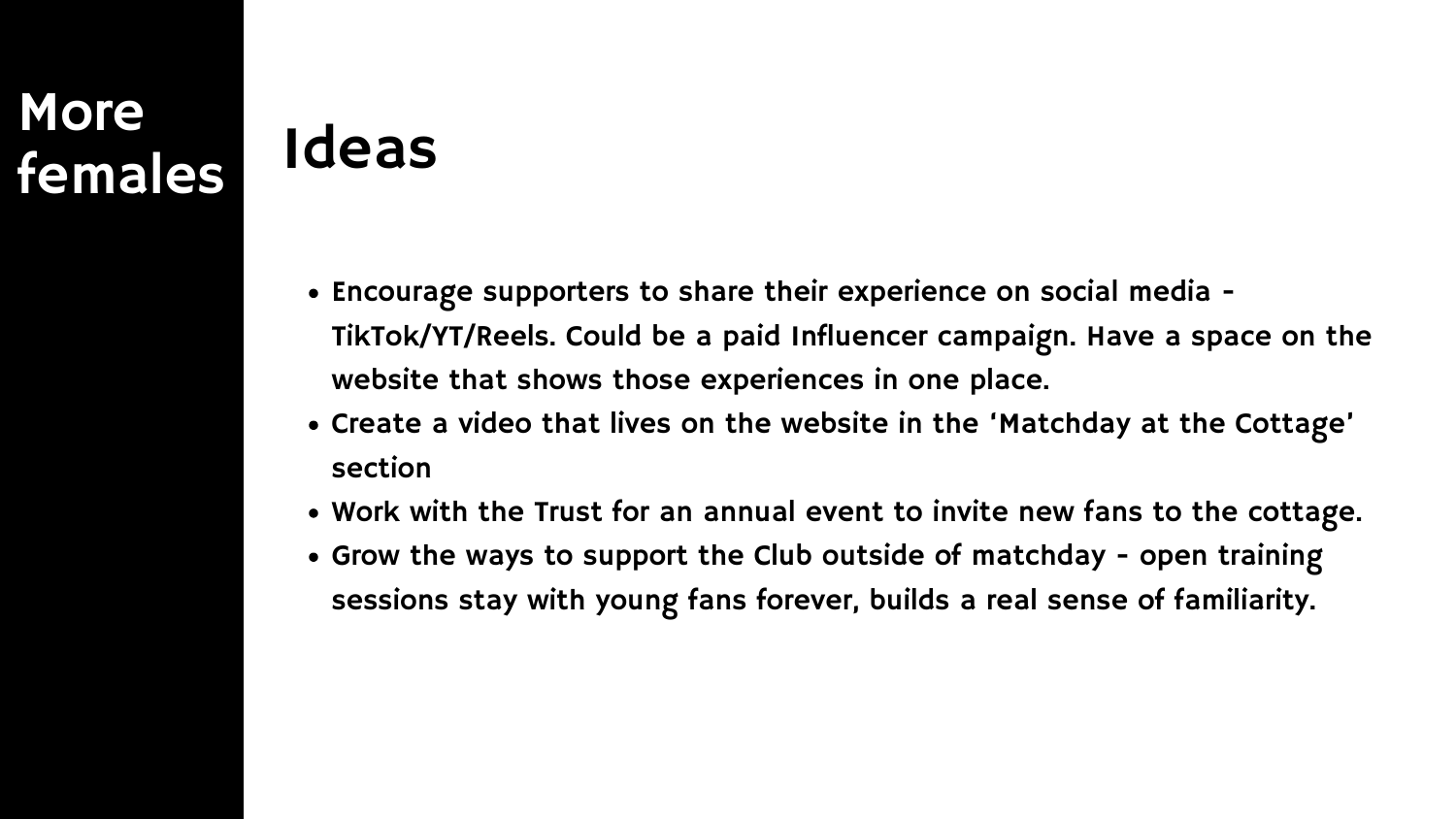### **More** females

### Ideas

- Encourage supporters to share their experience on social media TikTok/YT/Reels. Could be a paid Influencer campaign. Have a space on the website that shows those experiences in one place.
- Create a video that lives on the website in the 'Matchday at the Cottage' section
- Work with the Trust for an annual event to invite new fans to the cottage. Grow the ways to support the Club outside of matchday - open training
- sessions stay with young fans forever, builds a real sense of familiarity.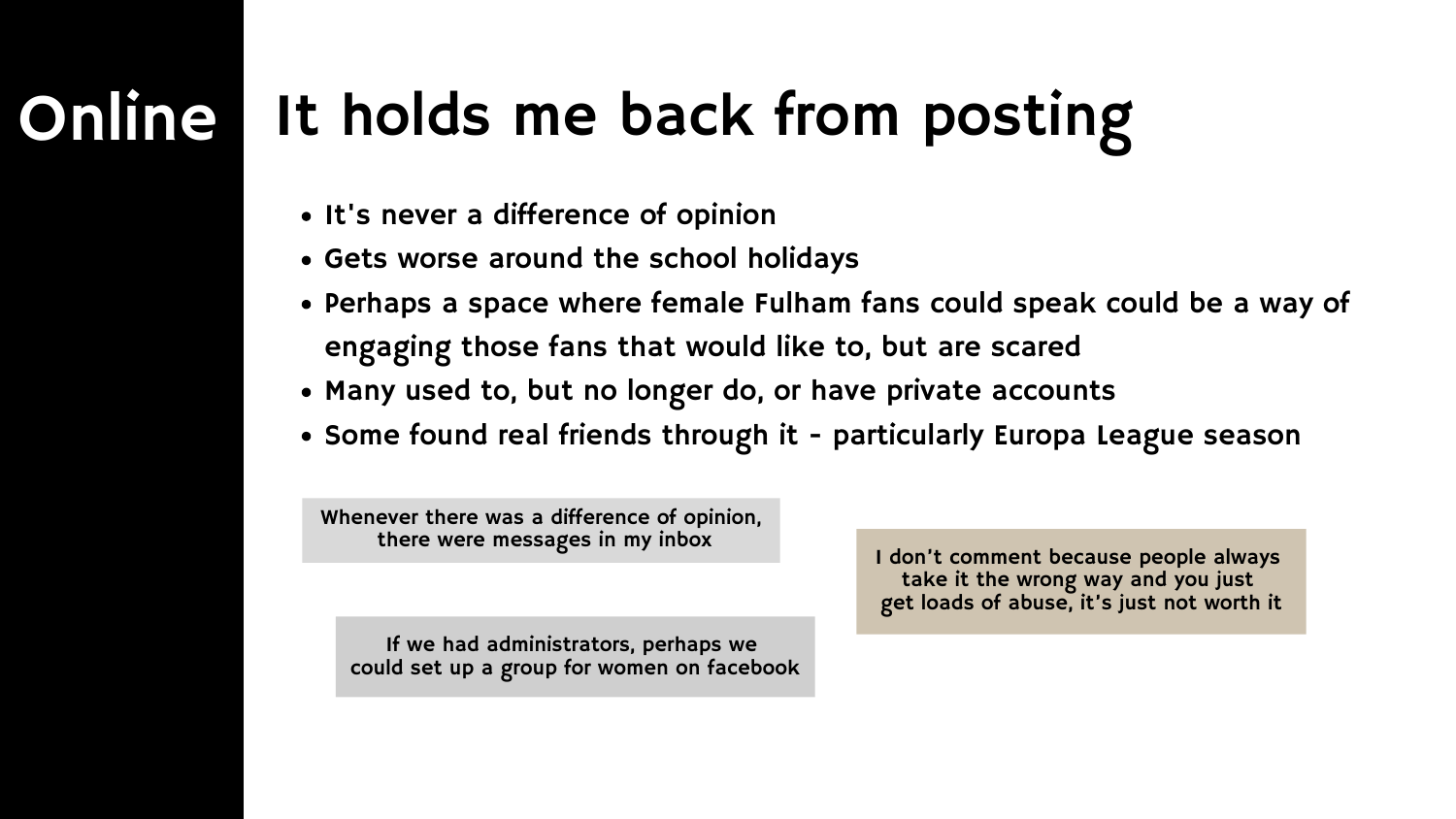### Online It holds me back from posting

- It's never a difference of opinion
- Gets worse around the school holidays
- Perhaps a space where female Fulham fans could speak could be a way of engaging those fans that would like to, but are scared
- Many used to, but no longer do, or have private accounts
- Some found real friends through it particularly Europa League season

Whenever there was a difference of opinion, there were messages in my inbox

If we had administrators, perhaps we could set up a group for women on facebook

I don't comment because people always take it the wrong way and you just get loads of abuse, it's just not worth it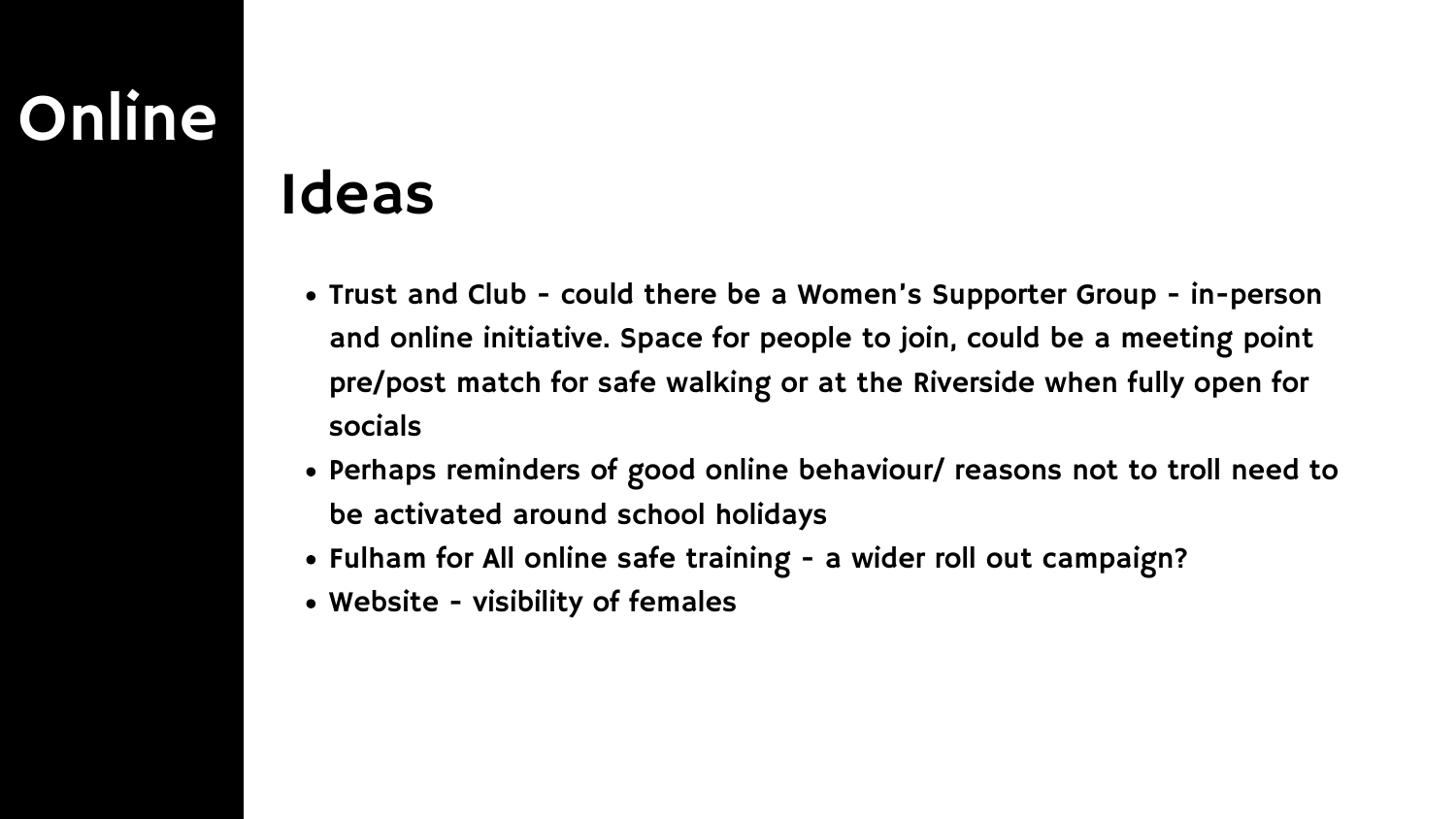### Online

### Ideas

- Trust and Club could there be a Women's Supporter Group in-person and online initiative. Space for people to join, could be a meeting point pre/post match for safe walking or at the Riverside when fully open for socials
- Perhaps reminders of good online behaviour/ reasons not to troll need to be activated around school holidays
- Fulham for All online safe training a wider roll out campaign?
- Website visibility of females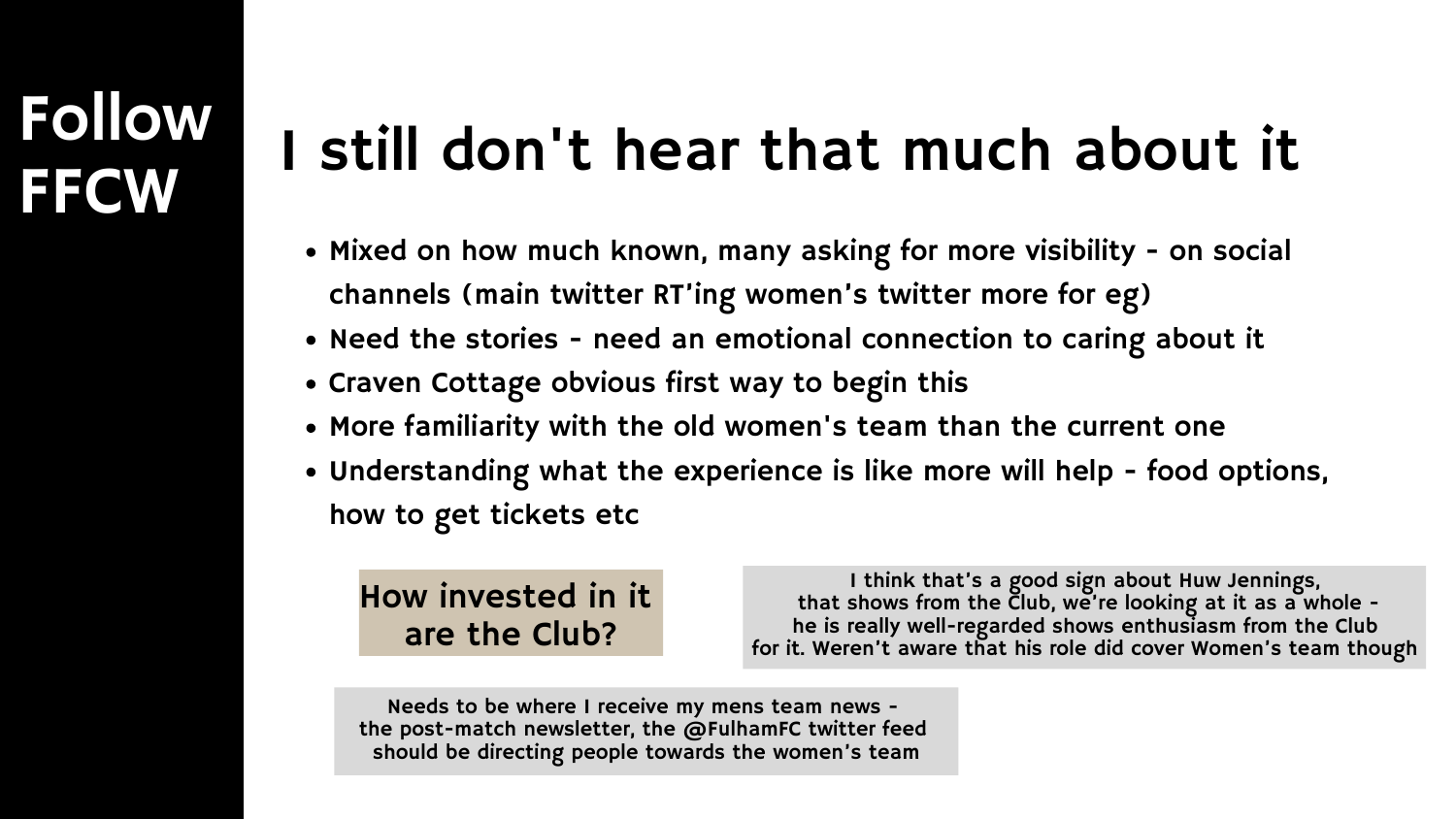# Follow

## FFCW I still don't hear that much about it

- Mixed on how much known, many asking for more visibility on social channels (main twitter RT'ing women's twitter more for eg)
- Need the stories need an emotional connection to caring about it
- Craven Cottage obvious first way to begin this
- More familiarity with the old women's team than the current one
- Understanding what the experience is like more will help food options, how to get tickets etc

### How invested in it are the Club?

I think that's a good sign about Huw Jennings, that shows from the Club, we're looking at it as a whole he is really well-regarded shows enthusiasm from the Club for it. Weren't aware that his role did cover Women's team though

Needs to be where I receive my mens team news the post-match newsletter, the @FulhamFC twitter feed should be directing people towards the women's team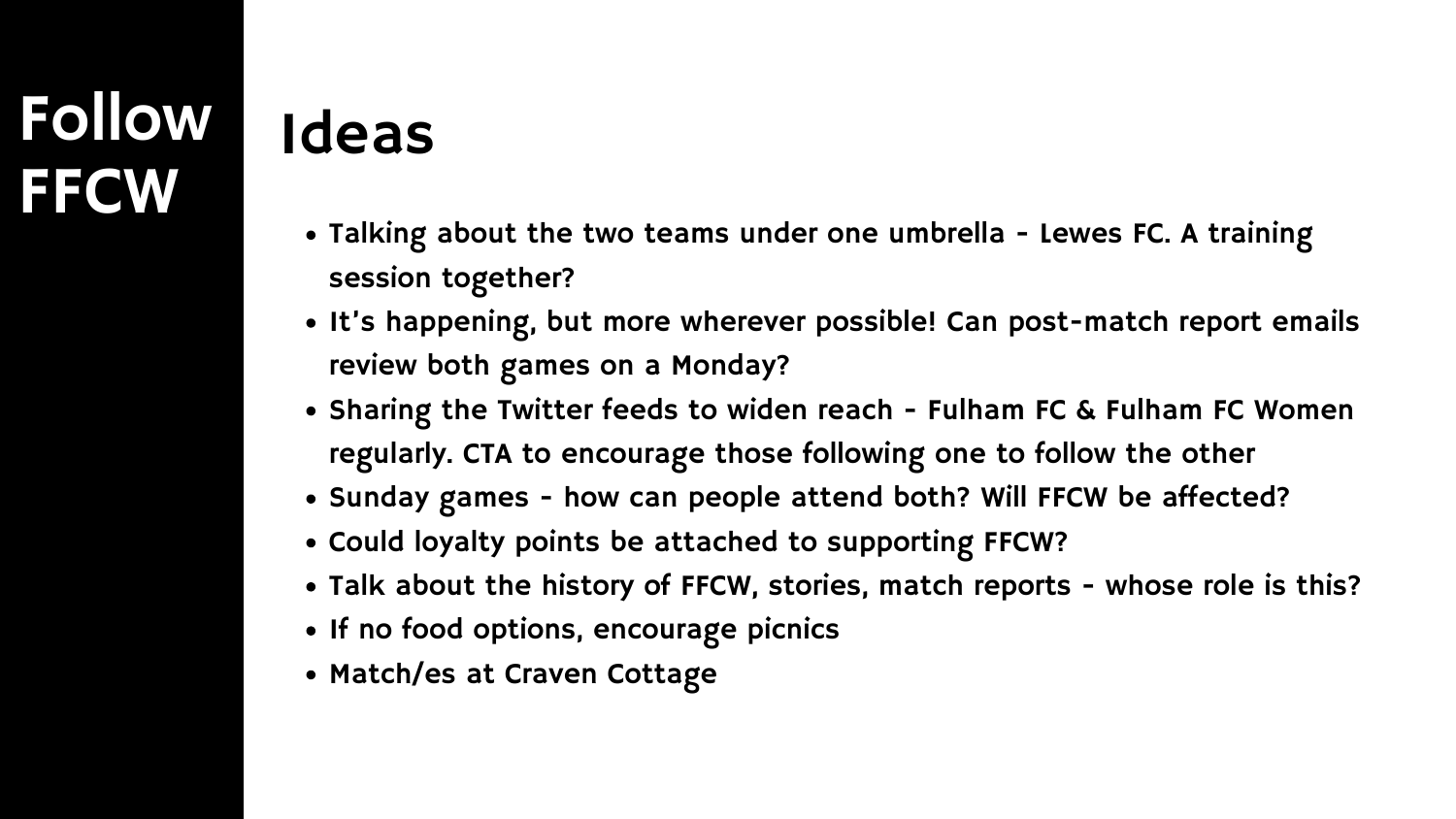### Follow **FFCW**

### Ideas

- Talking about the two teams under one umbrella Lewes FC. A training session together?
- It's happening, but more wherever possible! Can post-match report emails review both games on a Monday?
- Sharing the Twitter feeds to widen reach Fulham FC & Fulham FC Women regularly. CTA to encourage those following one to follow the other
- Sunday games how can people attend both? Will FFCW be affected?
- Could loyalty points be attached to supporting FFCW?
- Talk about the history of FFCW, stories, match reports whose role is this?
- If no food options, encourage picnics
- Match/es at Craven Cottage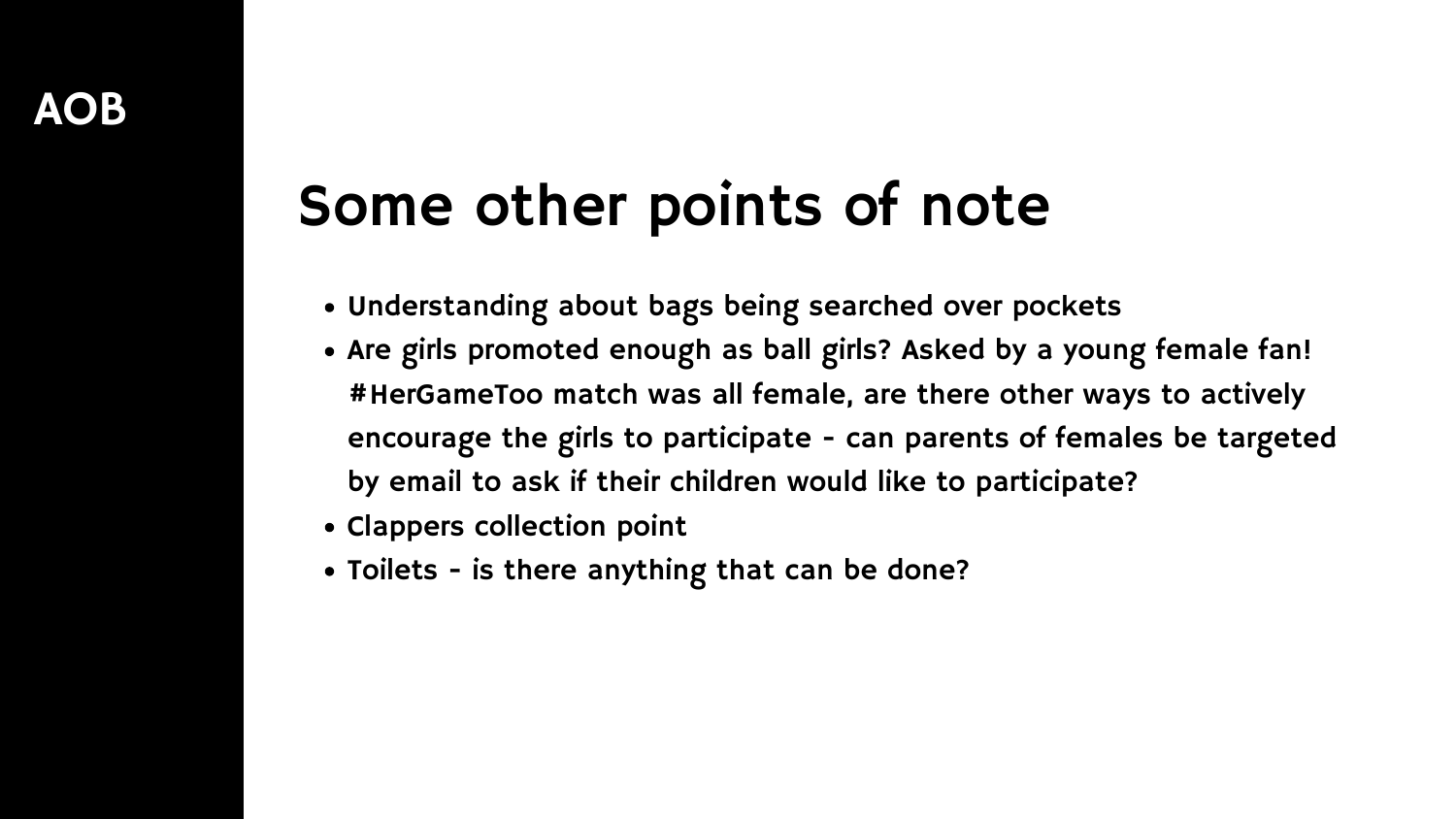- Understanding about bags being searched over pockets
- Are girls promoted enough as ball girls? Asked by a young female fan! #HerGameToo match was all female, are there other ways to actively encourage the girls to participate - can parents of females be targeted by email to ask if their children would like to participate?
- Clappers collection point
- Toilets is there anything that can be done?

### Some other points of note